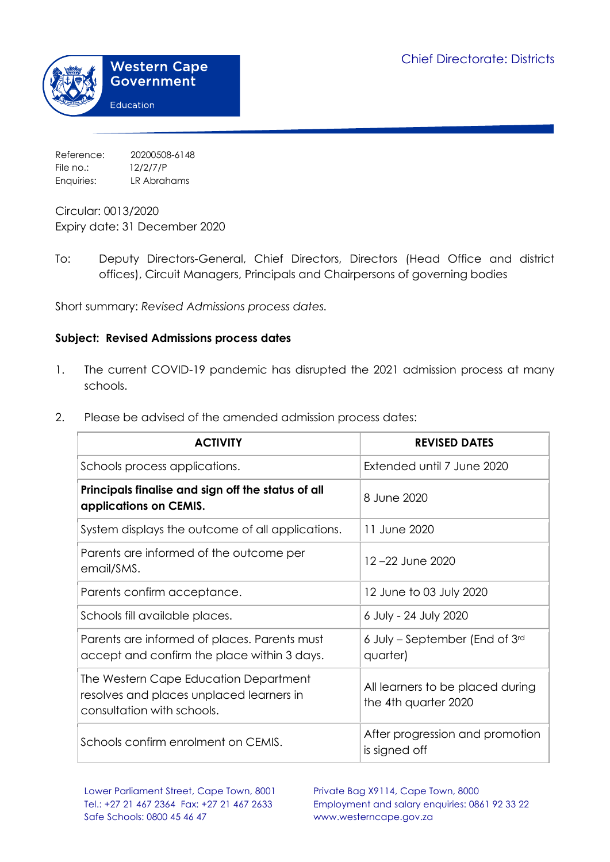

Reference: 20200508-6148 File no.: 12/2/7/P Enquiries: LR Abrahams

Circular: 0013/2020 Expiry date: 31 December 2020

To: Deputy Directors-General, Chief Directors, Directors (Head Office and district offices), Circuit Managers, Principals and Chairpersons of governing bodies

Short summary: *Revised Admissions process dates.*

## **Subject: Revised Admissions process dates**

- 1. The current COVID-19 pandemic has disrupted the 2021 admission process at many schools.
- 2. Please be advised of the amended admission process dates:

| <b>ACTIVITY</b>                                                                                                 | <b>REVISED DATES</b>                                     |
|-----------------------------------------------------------------------------------------------------------------|----------------------------------------------------------|
| Schools process applications.                                                                                   | Extended until 7 June 2020                               |
| Principals finalise and sign off the status of all<br>applications on CEMIS.                                    | 8 June 2020                                              |
| System displays the outcome of all applications.                                                                | 11 June 2020                                             |
| Parents are informed of the outcome per<br>email/SMS.                                                           | 12-22 June 2020                                          |
| Parents confirm acceptance.                                                                                     | 12 June to 03 July 2020                                  |
| Schools fill available places.                                                                                  | 6 July - 24 July 2020                                    |
| Parents are informed of places. Parents must<br>accept and confirm the place within 3 days.                     | 6 July - September (End of 3rd<br>quarter)               |
| The Western Cape Education Department<br>resolves and places unplaced learners in<br>consultation with schools. | All learners to be placed during<br>the 4th quarter 2020 |
| Schools confirm enrolment on CEMIS.                                                                             | After progression and promotion<br>is signed off         |

Tel.: +27 21 467 2364 Fax: +27 21 467 2633 Employment and salary enquiries: 0861 92 33 22